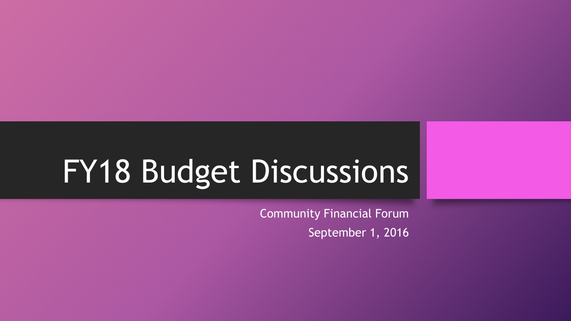# FY18 Budget Discussions

Community Financial Forum September 1, 2016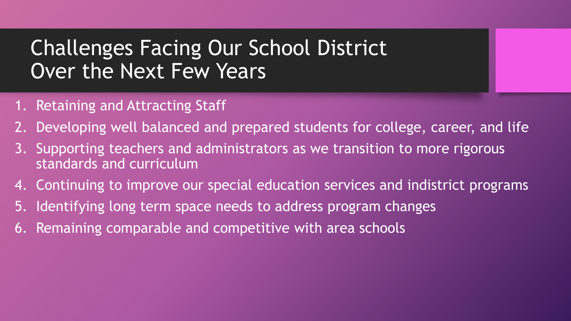# Challenges Facing Our School District Over the Next Few Years

- 1. Retaining and Attracting Staff
- 2. Developing well balanced and prepared students for college, career, and life
- 3. Supporting teachers and administrators as we transition to more rigorous standards and curriculum
- 4. Continuing to improve our special education services and indistrict programs
- 5. Identifying long term space needs to address program changes
- 6. Remaining comparable and competitive with area schools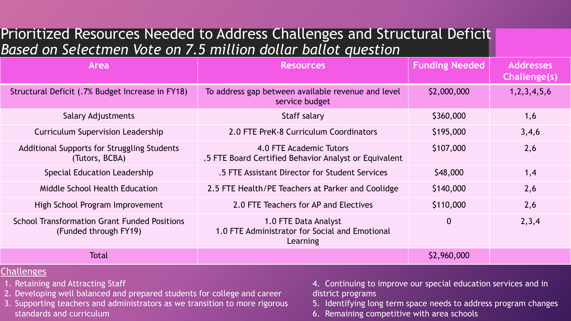### Prioritized Resources Needed to Address Challenges and Structural Deficit *Based on Selectmen Vote on 7.5 million dollar ballot question*

| Area                                                                         | <b>Resources</b>                                                                   | <b>Funding Needed</b> | <b>Addresses</b><br>Challenge(s) |
|------------------------------------------------------------------------------|------------------------------------------------------------------------------------|-----------------------|----------------------------------|
| Structural Deficit (.7% Budget Increase in FY18)                             | To address gap between available revenue and level<br>service budget               | \$2,000,000           | 1, 2, 3, 4, 5, 6                 |
| <b>Salary Adjustments</b>                                                    | Staff salary                                                                       | \$360,000             | 1,6                              |
| <b>Curriculum Supervision Leadership</b>                                     | 2.0 FTE PreK-8 Curriculum Coordinators                                             | \$195,000             | 3,4,6                            |
| Additional Supports for Struggling Students<br>(Tutors, BCBA)                | 4.0 FTE Academic Tutors<br>.5 FTE Board Certified Behavior Analyst or Equivalent   | \$107,000             | 2,6                              |
| Special Education Leadership                                                 | .5 FTE Assistant Director for Student Services                                     | \$48,000              | 1,4                              |
| Middle School Health Education                                               | 2.5 FTE Health/PE Teachers at Parker and Coolidge                                  | \$140,000             | 2,6                              |
| High School Program Improvement                                              | 2.0 FTE Teachers for AP and Electives                                              | \$110,000             | 2,6                              |
| <b>School Transformation Grant Funded Positions</b><br>(Funded through FY19) | 1.0 FTE Data Analyst<br>1.0 FTE Administrator for Social and Emotional<br>Learning | $\overline{0}$        | 2,3,4                            |
| <b>Total</b>                                                                 |                                                                                    | \$2,960,000           |                                  |

#### **Challenges**

- 1. Retaining and Attracting Staff
- 2. Developing well balanced and prepared students for college and career
- 3. Supporting teachers and administrators as we transition to more rigorous standards and curriculum
- 4. Continuing to improve our special education services and in district programs
- 5. Identifying long term space needs to address program changes
- 6. Remaining competitive with area schools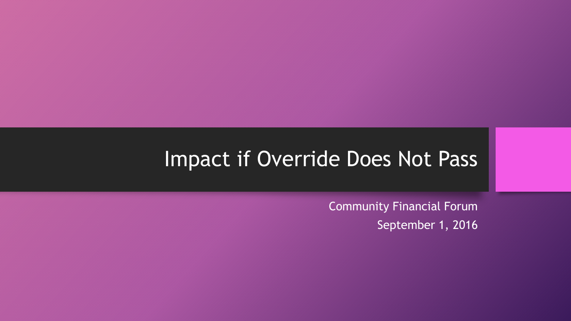### Impact if Override Does Not Pass

Community Financial Forum September 1, 2016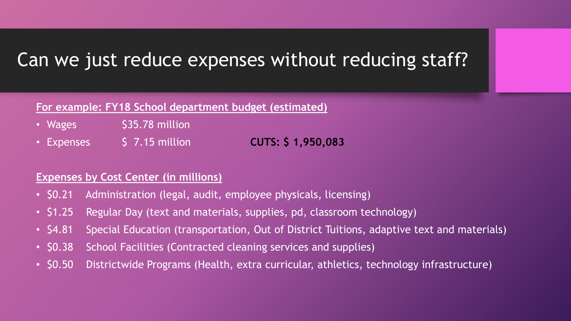### Can we just reduce expenses without reducing staff?

#### **For example: FY18 School department budget (estimated)**

- Wages \$35.78 million
- Expenses \$ 7.15 million **CUTS: \$ 1,950,083**

#### **Expenses by Cost Center (in millions)**

- \$0.21 Administration (legal, audit, employee physicals, licensing)
- \$1.25 Regular Day (text and materials, supplies, pd, classroom technology)
- \$4.81 Special Education (transportation, Out of District Tuitions, adaptive text and materials)
- \$0.38 School Facilities (Contracted cleaning services and supplies)
- \$0.50 Districtwide Programs (Health, extra curricular, athletics, technology infrastructure)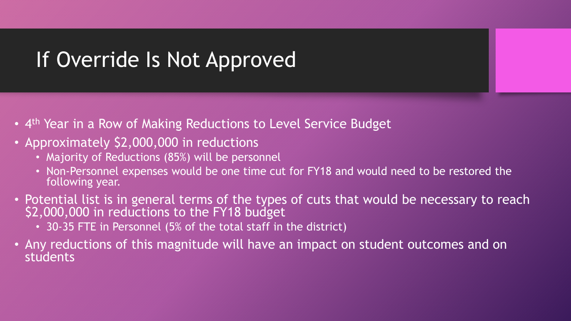# If Override Is Not Approved

- 4<sup>th</sup> Year in a Row of Making Reductions to Level Service Budget
- Approximately \$2,000,000 in reductions
	- Majority of Reductions (85%) will be personnel
	- Non-Personnel expenses would be one time cut for FY18 and would need to be restored the following year.
- Potential list is in general terms of the types of cuts that would be necessary to reach \$2,000,000 in reductions to the FY18 budget
	- 30-35 FTE in Personnel (5% of the total staff in the district)
- Any reductions of this magnitude will have an impact on student outcomes and on students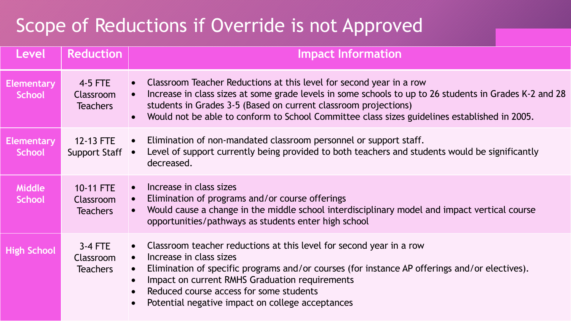### Scope of Reductions if Override is not Approved

| Level                              | <b>Reduction</b>                          | <b>Impact Information</b>                                                                                                                                                                                                                                                                                                                                     |
|------------------------------------|-------------------------------------------|---------------------------------------------------------------------------------------------------------------------------------------------------------------------------------------------------------------------------------------------------------------------------------------------------------------------------------------------------------------|
| <b>Elementary</b><br><b>School</b> | $4-5$ FTE<br>Classroom<br><b>Teachers</b> | Classroom Teacher Reductions at this level for second year in a row<br>Increase in class sizes at some grade levels in some schools to up to 26 students in Grades K-2 and 28<br>students in Grades 3-5 (Based on current classroom projections)<br>Would not be able to conform to School Committee class sizes guidelines established in 2005.              |
| <b>Elementary</b><br><b>School</b> | 12-13 FTE<br><b>Support Staff</b>         | Elimination of non-mandated classroom personnel or support staff.<br>Level of support currently being provided to both teachers and students would be significantly<br>decreased.                                                                                                                                                                             |
| <b>Middle</b><br><b>School</b>     | 10-11 FTE<br>Classroom<br><b>Teachers</b> | Increase in class sizes<br>Elimination of programs and/or course offerings<br>Would cause a change in the middle school interdisciplinary model and impact vertical course<br>opportunities/pathways as students enter high school                                                                                                                            |
| <b>High School</b>                 | $3-4$ FTE<br>Classroom<br><b>Teachers</b> | Classroom teacher reductions at this level for second year in a row<br>Increase in class sizes<br>$\bullet$<br>Elimination of specific programs and/or courses (for instance AP offerings and/or electives).<br>Impact on current RMHS Graduation requirements<br>Reduced course access for some students<br>Potential negative impact on college acceptances |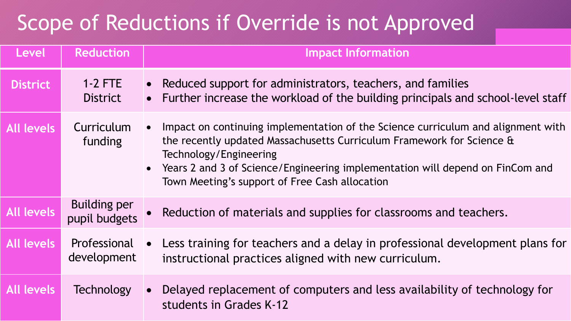# Scope of Reductions if Override is not Approved

| Level             | <b>Reduction</b>                     | <b>Impact Information</b>                                                                                                                                                                                                                                                                                                |
|-------------------|--------------------------------------|--------------------------------------------------------------------------------------------------------------------------------------------------------------------------------------------------------------------------------------------------------------------------------------------------------------------------|
| <b>District</b>   | $1-2$ FTE<br><b>District</b>         | Reduced support for administrators, teachers, and families<br>Further increase the workload of the building principals and school-level staff<br>$\bullet$                                                                                                                                                               |
| <b>All levels</b> | Curriculum<br>funding                | Impact on continuing implementation of the Science curriculum and alignment with<br>the recently updated Massachusetts Curriculum Framework for Science &<br>Technology/Engineering<br>• Years 2 and 3 of Science/Engineering implementation will depend on FinCom and<br>Town Meeting's support of Free Cash allocation |
| <b>All levels</b> | <b>Building per</b><br>pupil budgets | Reduction of materials and supplies for classrooms and teachers.                                                                                                                                                                                                                                                         |
| <b>All levels</b> | Professional<br>development          | Less training for teachers and a delay in professional development plans for<br>instructional practices aligned with new curriculum.                                                                                                                                                                                     |
| <b>All levels</b> | Technology                           | Delayed replacement of computers and less availability of technology for<br>students in Grades K-12                                                                                                                                                                                                                      |